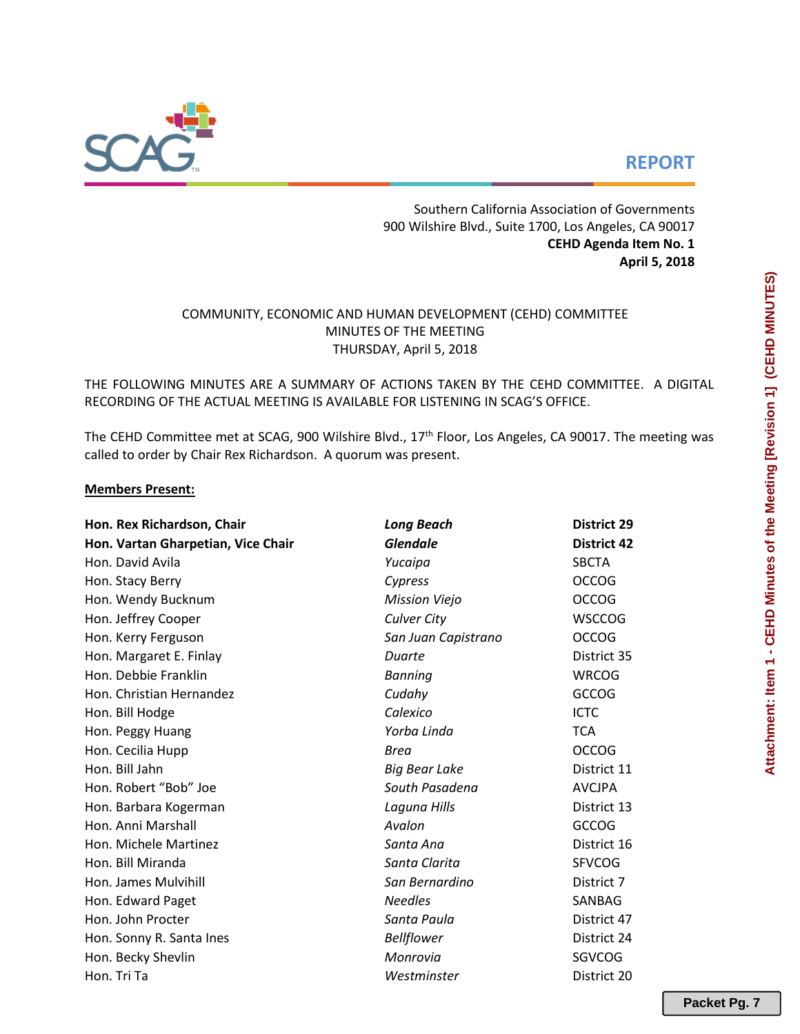# **REPORT**



Southern California Association of Governments 900 Wilshire Blvd., Suite 1700, Los Angeles, CA 90017 **CEHD Agenda Item No. 1 April 5, 2018**

# COMMUNITY, ECONOMIC AND HUMAN DEVELOPMENT (CEHD) COMMITTEE MINUTES OF THE MEETING THURSDAY, April 5, 2018

THE FOLLOWING MINUTES ARE A SUMMARY OF ACTIONS TAKEN BY THE CEHD COMMITTEE. A DIGITAL RECORDING OF THE ACTUAL MEETING IS AVAILABLE FOR LISTENING IN SCAG'S OFFICE.

The CEHD Committee met at SCAG, 900 Wilshire Blvd., 17<sup>th</sup> Floor, Los Angeles, CA 90017. The meeting was called to order by Chair Rex Richardson. A quorum was present.

#### **Members Present:**

| Hon. Rex Richardson, Chair         | <b>Long Beach</b>    | <b>District 29</b> |  |  |  |  |
|------------------------------------|----------------------|--------------------|--|--|--|--|
| Hon. Vartan Gharpetian, Vice Chair | <b>Glendale</b>      | <b>District 42</b> |  |  |  |  |
| Hon. David Avila                   | Yucaipa              | <b>SBCTA</b>       |  |  |  |  |
| Hon. Stacy Berry                   | Cypress              | <b>OCCOG</b>       |  |  |  |  |
| Hon. Wendy Bucknum                 | <b>Mission Viejo</b> | <b>OCCOG</b>       |  |  |  |  |
| Hon. Jeffrey Cooper                | <b>Culver City</b>   | <b>WSCCOG</b>      |  |  |  |  |
| Hon. Kerry Ferguson                | San Juan Capistrano  | <b>OCCOG</b>       |  |  |  |  |
| Hon. Margaret E. Finlay            | Duarte               | District 35        |  |  |  |  |
| Hon. Debbie Franklin               | <b>Banning</b>       | <b>WRCOG</b>       |  |  |  |  |
| Hon. Christian Hernandez           | Cudahy               | <b>GCCOG</b>       |  |  |  |  |
| Hon. Bill Hodge                    | Calexico             | <b>ICTC</b>        |  |  |  |  |
| Hon. Peggy Huang                   | Yorba Linda          | <b>TCA</b>         |  |  |  |  |
| Hon. Cecilia Hupp                  | Brea                 | <b>OCCOG</b>       |  |  |  |  |
| Hon. Bill Jahn                     | <b>Big Bear Lake</b> | District 11        |  |  |  |  |
| Hon. Robert "Bob" Joe              | South Pasadena       | <b>AVCJPA</b>      |  |  |  |  |
| Hon. Barbara Kogerman              | Laguna Hills         | District 13        |  |  |  |  |
| Hon. Anni Marshall                 | Avalon               | <b>GCCOG</b>       |  |  |  |  |
| Hon. Michele Martinez              | Santa Ana            | District 16        |  |  |  |  |
| Hon. Bill Miranda                  | Santa Clarita        | <b>SFVCOG</b>      |  |  |  |  |
| Hon. James Mulvihill               | San Bernardino       | District 7         |  |  |  |  |
| Hon. Edward Paget                  | <b>Needles</b>       | SANBAG             |  |  |  |  |
| Hon. John Procter                  | Santa Paula          | District 47        |  |  |  |  |
| Hon. Sonny R. Santa Ines           | <b>Bellflower</b>    | District 24        |  |  |  |  |
| Hon. Becky Shevlin                 | Monrovia             | SGVCOG             |  |  |  |  |
| Hon. Tri Ta                        | Westminster          | District 20        |  |  |  |  |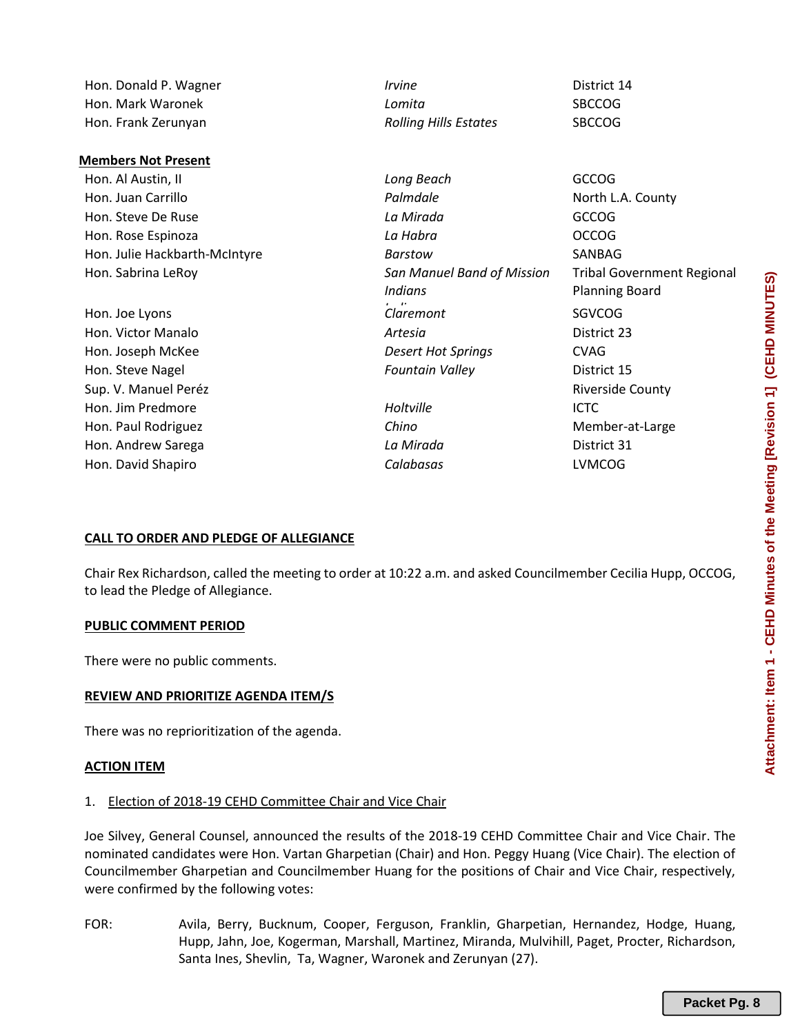#### **Members Not Present**

- Hon. Steve De Ruse *La Mirada* GCCOG Hon. Rose Espinoza *La Habra* OCCOG Hon. Julie Hackbarth-McIntyre *Barstow* SANBAG Hon. Sabrina LeRoy *San Manuel Band of Mission*
- 

Hon. Donald P. Wagner *Irvine* District 14 Hon. Mark Waronek *Lomita* SBCCOG Hon. Frank Zerunyan *Rolling Hills Estates* SBCCOG

Hon. Al Austin, II *Long Beach* GCCOG Hon. Juan Carrillo *Palmdale* North L.A. County *i*.<br>Claremont Tribal Government Regional Planning Board Hon. Joe Lyons *Claremont* SGVCOG Hon. Victor Manalo *Artesia* District 23 Hon. Joseph McKee *Desert Hot Springs* CVAG Hon. Steve Nagel *Fountain Valley* District 15 Sup. V. Manuel Peréz Riverside County Hon. Jim Predmore *Holtville* ICTC Hon. Paul Rodriguez *Chino* Member-at-Large Hon. Andrew Sarega *La Mirada* District 31 Hon. David Shapiro *Calabasas* LVMCOG

#### **CALL TO ORDER AND PLEDGE OF ALLEGIANCE**

Chair Rex Richardson, called the meeting to order at 10:22 a.m. and asked Councilmember Cecilia Hupp, OCCOG, to lead the Pledge of Allegiance.

*Indians*

#### **PUBLIC COMMENT PERIOD**

There were no public comments.

#### **REVIEW AND PRIORITIZE AGENDA ITEM/S**

There was no reprioritization of the agenda.

#### **ACTION ITEM**

1. Election of 2018-19 CEHD Committee Chair and Vice Chair

Joe Silvey, General Counsel, announced the results of the 2018-19 CEHD Committee Chair and Vice Chair. The nominated candidates were Hon. Vartan Gharpetian (Chair) and Hon. Peggy Huang (Vice Chair). The election of Councilmember Gharpetian and Councilmember Huang for the positions of Chair and Vice Chair, respectively, were confirmed by the following votes:

FOR: Avila, Berry, Bucknum, Cooper, Ferguson, Franklin, Gharpetian, Hernandez, Hodge, Huang, Hupp, Jahn, Joe, Kogerman, Marshall, Martinez, Miranda, Mulvihill, Paget, Procter, Richardson, Santa Ines, Shevlin, Ta, Wagner, Waronek and Zerunyan (27).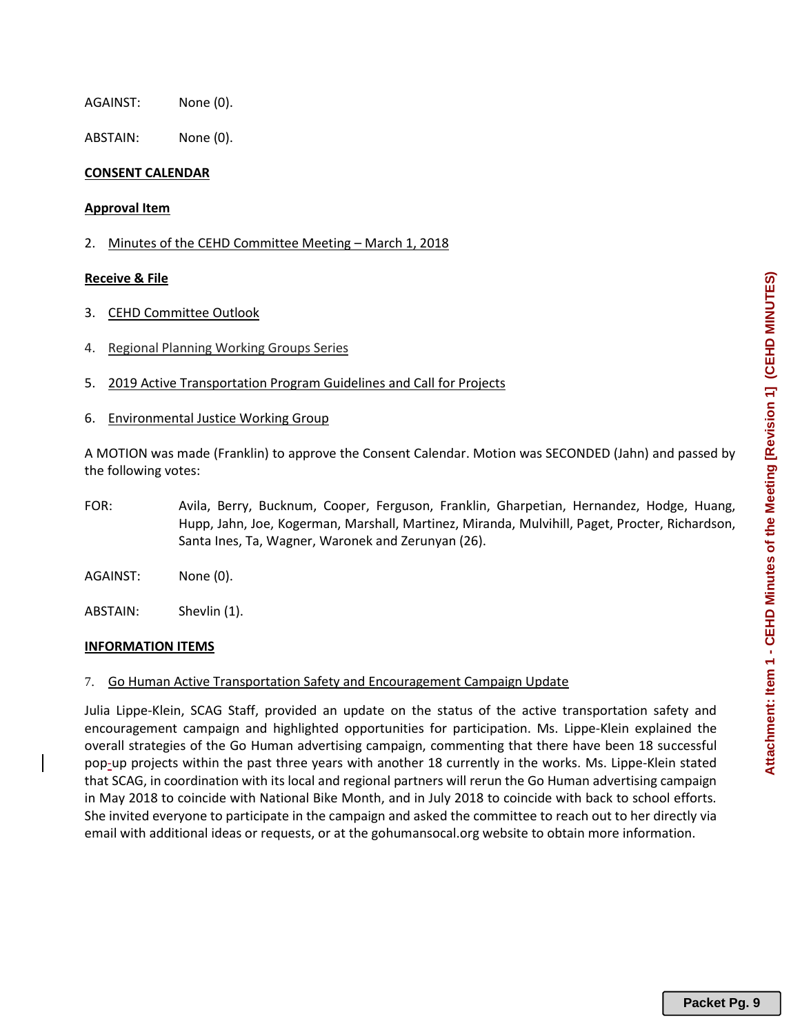AGAINST: None (0).

ABSTAIN: None (0).

## **CONSENT CALENDAR**

### **Approval Item**

2. Minutes of the CEHD Committee Meeting - March 1, 2018

## **Receive & File**

- 3. CEHD Committee Outlook
- 4. Regional Planning Working Groups Series
- 5. 2019 Active Transportation Program Guidelines and Call for Projects
- 6. Environmental Justice Working Group

A MOTION was made (Franklin) to approve the Consent Calendar. Motion was SECONDED (Jahn) and passed by the following votes:

- FOR: Avila, Berry, Bucknum, Cooper, Ferguson, Franklin, Gharpetian, Hernandez, Hodge, Huang, Hupp, Jahn, Joe, Kogerman, Marshall, Martinez, Miranda, Mulvihill, Paget, Procter, Richardson, Santa Ines, Ta, Wagner, Waronek and Zerunyan (26).
- AGAINST: None (0).
- ABSTAIN: Shevlin (1).

#### **INFORMATION ITEMS**

7. Go Human Active Transportation Safety and Encouragement Campaign Update

Julia Lippe-Klein, SCAG Staff, provided an update on the status of the active transportation safety and encouragement campaign and highlighted opportunities for participation. Ms. Lippe-Klein explained the overall strategies of the Go Human advertising campaign, commenting that there have been 18 successful pop-up projects within the past three years with another 18 currently in the works. Ms. Lippe-Klein stated that SCAG, in coordination with its local and regional partners will rerun the Go Human advertising campaign in May 2018 to coincide with National Bike Month, and in July 2018 to coincide with back to school efforts. She invited everyone to participate in the campaign and asked the committee to reach out to her directly via email with additional ideas or requests, or at the gohumansocal.org website to obtain more information.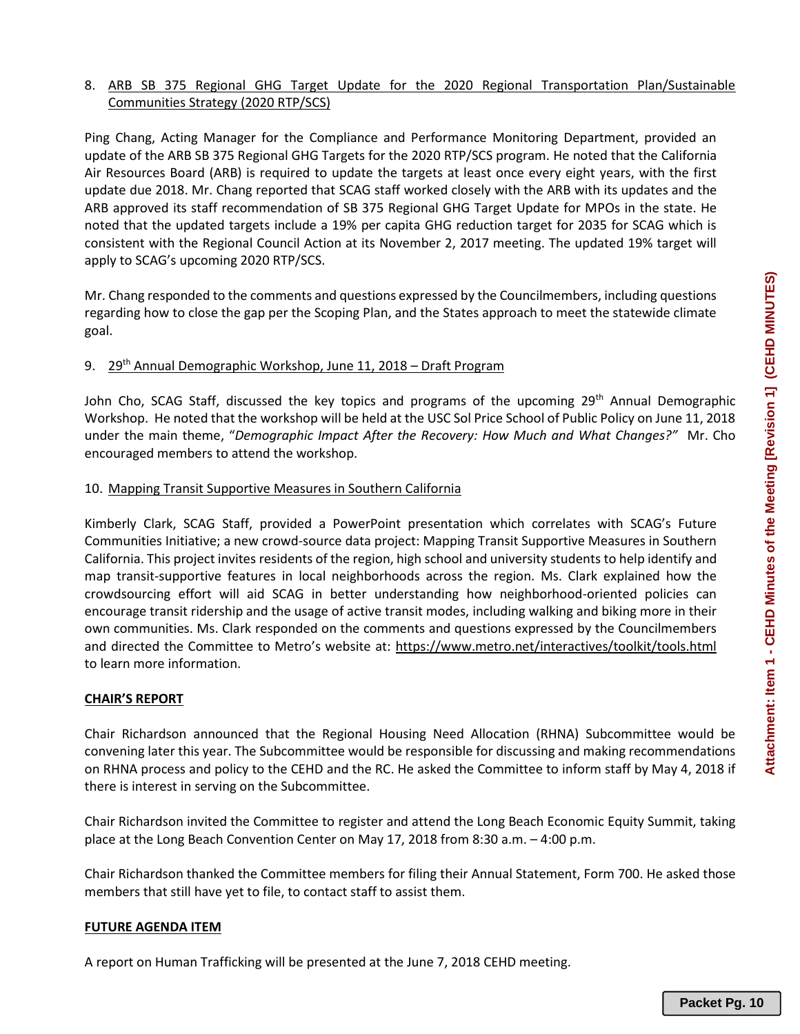# 8. ARB SB 375 Regional GHG Target Update for the 2020 Regional Transportation Plan/Sustainable Communities Strategy (2020 RTP/SCS)

Ping Chang, Acting Manager for the Compliance and Performance Monitoring Department, provided an update of the ARB SB 375 Regional GHG Targets for the 2020 RTP/SCS program. He noted that the California Air Resources Board (ARB) is required to update the targets at least once every eight years, with the first update due 2018. Mr. Chang reported that SCAG staff worked closely with the ARB with its updates and the ARB approved its staff recommendation of SB 375 Regional GHG Target Update for MPOs in the state. He noted that the updated targets include a 19% per capita GHG reduction target for 2035 for SCAG which is consistent with the Regional Council Action at its November 2, 2017 meeting. The updated 19% target will apply to SCAG's upcoming 2020 RTP/SCS.

Mr. Chang responded to the comments and questions expressed by the Councilmembers, including questions regarding how to close the gap per the Scoping Plan, and the States approach to meet the statewide climate goal.

# 9. 29<sup>th</sup> Annual Demographic Workshop, June 11, 2018 – Draft Program

John Cho, SCAG Staff, discussed the key topics and programs of the upcoming  $29<sup>th</sup>$  Annual Demographic Workshop. He noted that the workshop will be held at the USC Sol Price School of Public Policy on June 11, 2018 under the main theme, "*Demographic Impact After the Recovery: How Much and What Changes?"* Mr. Cho encouraged members to attend the workshop.

# 10. Mapping Transit Supportive Measures in Southern California

Kimberly Clark, SCAG Staff, provided a PowerPoint presentation which correlates with SCAG's Future Communities Initiative; a new crowd-source data project: Mapping Transit Supportive Measures in Southern California. This project invites residents of the region, high school and university students to help identify and map transit-supportive features in local neighborhoods across the region. Ms. Clark explained how the crowdsourcing effort will aid SCAG in better understanding how neighborhood-oriented policies can encourage transit ridership and the usage of active transit modes, including walking and biking more in their own communities. Ms. Clark responded on the comments and questions expressed by the Councilmembers and directed the Committee to Metro's website at: https://www.metro.net/interactives/toolkit/tools.html to learn more information.

# **CHAIR'S REPORT**

Chair Richardson announced that the Regional Housing Need Allocation (RHNA) Subcommittee would be convening later this year. The Subcommittee would be responsible for discussing and making recommendations on RHNA process and policy to the CEHD and the RC. He asked the Committee to inform staff by May 4, 2018 if there is interest in serving on the Subcommittee.

Chair Richardson invited the Committee to register and attend the Long Beach Economic Equity Summit, taking place at the Long Beach Convention Center on May 17, 2018 from 8:30 a.m. – 4:00 p.m.

Chair Richardson thanked the Committee members for filing their Annual Statement, Form 700. He asked those members that still have yet to file, to contact staff to assist them.

# **FUTURE AGENDA ITEM**

A report on Human Trafficking will be presented at the June 7, 2018 CEHD meeting.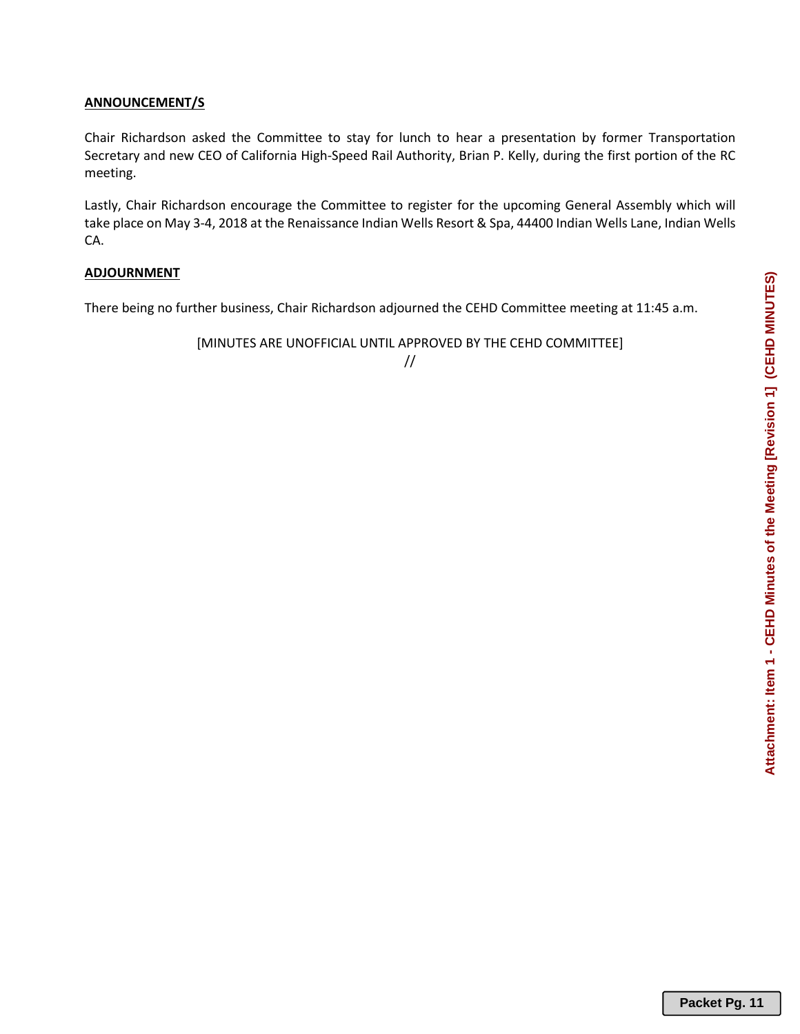# **ANNOUNCEMENT/S**

Chair Richardson asked the Committee to stay for lunch to hear a presentation by former Transportation Secretary and new CEO of California High-Speed Rail Authority, Brian P. Kelly, during the first portion of the RC meeting.

Lastly, Chair Richardson encourage the Committee to register for the upcoming General Assembly which will take place on May 3-4, 2018 at the Renaissance Indian Wells Resort & Spa, 44400 Indian Wells Lane, Indian Wells CA.

# **ADJOURNMENT**

There being no further business, Chair Richardson adjourned the CEHD Committee meeting at 11:45 a.m.

[MINUTES ARE UNOFFICIAL UNTIL APPROVED BY THE CEHD COMMITTEE]

# //